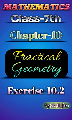







# Exercise-10.2

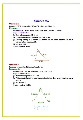# Exercise 10.2

Question 1: Construct  $\triangle$  XYZ in which XY = 4.5 cm, YZ = 5 cm and ZX = 6 cm. **Answer 1:** To construct:  $\triangle XYZ$ , where XY = 4.5 cm, YZ = 5 cm and ZX = 6 cm. Steps of construction:

(a) Draw a line segment YZ = 5 cm.

(b) Taking Z as centre and radius 6 cm, draw an arc.

- (c) Similarly, taking Y as centre and radius 4.5 cm, draw another arc which intersects first arc at point X.
- (d) Join XY and XZ

It is the required  $\triangle$  XYZ.



#### **Question 2:**

Construct an equilateral triangle of side S.5 cm.

**E.** Answer 2:

To construct:  $A \triangle ABC$  where  $AB = BC = CA = 5.5$  cm

Steps of construction

(a) Draw a line segment BC = 5.5 cm

(b)Taking points B and Cas centers and radius 5.5 cm, draw arcs which intersect at point A.

(c) Join AB and AC.

It is the required  $\triangle$ ABC.